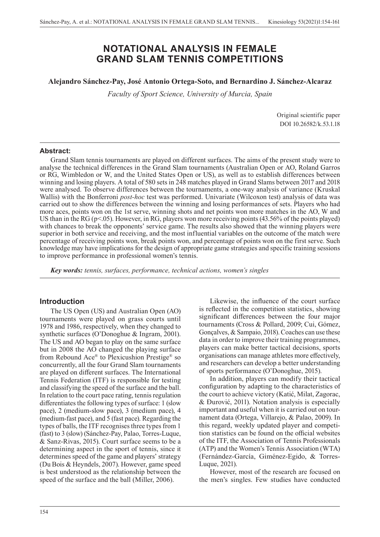# **NOTATIONAL ANALYSIS IN FEMALE GRAND SLAM TENNIS COMPETITIONS**

## **Alejandro Sánchez-Pay, José Antonio Ortega-Soto, and Bernardino J. Sánchez-Alcaraz**

*Faculty of Sport Science, University of Murcia, Spain*

Original scientific paper DOI 10.26582/k.53.1.18

#### **Abstract:**

Grand Slam tennis tournaments are played on different surfaces. The aims of the present study were to analyse the technical differences in the Grand Slam tournaments (Australian Open or AO, Roland Garros or RG, Wimbledon or W, and the United States Open or US), as well as to establish differences between winning and losing players. A total of 580 sets in 248 matches played in Grand Slams between 2017 and 2018 were analysed. To observe differences between the tournaments, a one-way analysis of variance (Kruskal Wallis) with the Bonferroni *post-hoc* test was performed. Univariate (Wilcoxon test) analysis of data was carried out to show the differences between the winning and losing performances of sets. Players who had more aces, points won on the 1st serve, winning shots and net points won more matches in the AO, W and US than in the RG (p<.05). However, in RG, players won more receiving points (43.56% of the points played) with chances to break the opponents' service game. The results also showed that the winning players were superior in both service and receiving, and the most influential variables on the outcome of the match were percentage of receiving points won, break points won, and percentage of points won on the first serve. Such knowledge may have implications for the design of appropriate game strategies and specific training sessions to improve performance in professional women's tennis.

*Key words: tennis, surfaces, performance, technical actions, women's singles*

#### **Introduction**

The US Open (US) and Australian Open (AO) tournaments were played on grass courts until 1978 and 1986, respectively, when they changed to synthetic surfaces (O'Donoghue & Ingram, 2001). The US and AO began to play on the same surface but in 2008 the AO changed the playing surface from Rebound Ace® to Plexicushion Prestige® so concurrently, all the four Grand Slam tournaments are played on different surfaces. The International Tennis Federation (ITF) is responsible for testing and classifying the speed of the surface and the ball. In relation to the court pace rating, tennis regulation differentiates the following types of surface: 1 (slow pace), 2 (medium-slow pace), 3 (medium pace), 4 (medium-fast pace), and 5 (fast pace). Regarding the types of balls, the ITF recognises three types from 1 (fast) to 3 (slow) (Sánchez-Pay, Palao, Torres-Luque, & Sanz-Rivas, 2015). Court surface seems to be a determining aspect in the sport of tennis, since it determines speed of the game and players' strategy (Du Bois & Heyndels, 2007). However, game speed is best understood as the relationship between the speed of the surface and the ball (Miller, 2006).

Likewise, the influence of the court surface is reflected in the competition statistics, showing significant differences between the four major tournaments (Cross & Pollard, 2009; Cui, Gómez, Gonçalves, & Sampaio, 2018). Coaches can use these data in order to improve their training programmes, players can make better tactical decisions, sports organisations can manage athletes more effectively, and researchers can develop a better understanding of sports performance (O'Donoghue, 2015).

In addition, players can modify their tactical configuration by adapting to the characteristics of the court to achieve victory (Katić, Milat, Zagorac, & Đurović, 2011). Notation analysis is especially important and useful when it is carried out on tournament data (Ortega, Villarejo, & Palao, 2009). In this regard, weekly updated player and competition statistics can be found on the official websites of the ITF, the Association of Tennis Professionals (ATP) and the Women's Tennis Association (WTA) (Fernández-García, Giménez-Egido, & Torres-Luque, 2021).

However, most of the research are focused on the men's singles. Few studies have conducted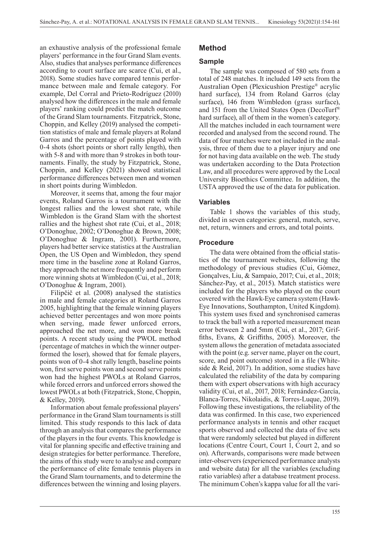an exhaustive analysis of the professional female players' performance in the four Grand Slam events. Also, studies that analyses performance differences according to court surface are scarce (Cui, et al., 2018). Some studies have compared tennis performance between male and female category. For example, Del Corral and Prieto-Rodríguez (2010) analysed how the differences in the male and female players' ranking could predict the match outcome of the Grand Slam tournaments. Fitzpatrick, Stone, Choppin, and Kelley (2019) analysed the competition statistics of male and female players at Roland Garros and the percentage of points played with 0-4 shots (short points or short rally length), then with 5-8 and with more than 9 strokes in both tournaments. Finally, the study by Fitzpatrick, Stone, Choppin, and Kelley (2021) showed statistical performance differences between men and women in short points during Wimbledon.

Moreover, it seems that, among the four major events, Roland Garros is a tournament with the longest rallies and the lowest shot rate, while Wimbledon is the Grand Slam with the shortest rallies and the highest shot rate (Cui, et al., 2018; O'Donoghue, 2002; O'Donoghue & Brown, 2008; O'Donoghue & Ingram, 2001). Furthermore, players had better service statistics at the Australian Open, the US Open and Wimbledon, they spend more time in the baseline zone at Roland Garros, they approach the net more frequently and perform more winning shots at Wimbledon (Cui, et al., 2018; O'Donoghue & Ingram, 2001).

Filipčič et al. (2008) analysed the statistics in male and female categories at Roland Garros 2005, highlighting that the female winning players achieved better percentages and won more points when serving, made fewer unforced errors, approached the net more, and won more break points. A recent study using the PWOL method (percentage of matches in which the winner outperformed the loser), showed that for female players, points won of 0-4 shot rally length, baseline points won, first serve points won and second serve points won had the highest PWOLs at Roland Garros, while forced errors and unforced errors showed the lowest PWOLs at both (Fitzpatrick, Stone, Choppin, & Kelley, 2019).

Information about female professional players' performance in the Grand Slam tournaments is still limited. This study responds to this lack of data through an analysis that compares the performance of the players in the four events. This knowledge is vital for planning specific and effective training and design strategies for better performance. Therefore, the aims of this study were to analyse and compare the performance of elite female tennis players in the Grand Slam tournaments, and to determine the differences between the winning and losing players.

# **Method**

## **Sample**

The sample was composed of 580 sets from a total of 248 matches. It included 149 sets from the Australian Open (Plexicushion Prestige® acrylic hard surface), 134 from Roland Garros (clay surface), 146 from Wimbledon (grass surface), and 151 from the United States Open (DecoTurf® hard surface), all of them in the women's category. All the matches included in each tournament were recorded and analysed from the second round. The data of four matches were not included in the analysis, three of them due to a player injury and one for not having data available on the web. The study was undertaken according to the Data Protection Law, and all procedures were approved by the Local University Bioethics Committee. In addition, the USTA approved the use of the data for publication.

## **Variables**

Table 1 shows the variables of this study, divided in seven categories: general, match, serve, net, return, winners and errors, and total points.

## **Procedure**

The data were obtained from the official statistics of the tournament websites, following the methodology of previous studies (Cui, Gómez, Gonçalves, Liu, & Sampaio, 2017; Cui, et al., 2018; Sánchez-Pay, et al., 2015). Match statistics were included for the players who played on the court covered with the Hawk-Eye camera system (Hawk-Eye Innovations, Southampton, United Kingdom). This system uses fixed and synchronised cameras to track the ball with a reported measurement mean error between 2 and 5mm (Cui, et al., 2017; Griffiths, Evans, & Griffiths, 2005). Moreover, the system allows the generation of metadata associated with the point (e.g. server name, player on the court, score, and point outcome) stored in a file (Whiteside & Reid, 2017). In addition, some studies have calculated the reliability of the data by comparing them with expert observations with high accuracy validity (Cui, et al., 2017, 2018; Fernández-García, Blanca-Torres, Nikolaidis, & Torres-Luque, 2019). Following these investigations, the reliability of the data was confirmed. In this case, two experienced performance analysts in tennis and other racquet sports observed and collected the data of five sets that were randomly selected but played in different locations (Centre Court, Court 1, Court 2, and so on). Afterwards, comparisons were made between inter-observers (experienced performance analysts and website data) for all the variables (excluding ratio variables) after a database treatment process. The minimum Cohen's kappa value for all the vari-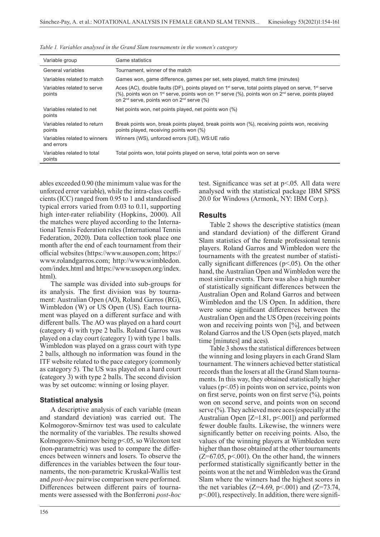| Variable group                             | Game statistics                                                                                                                                                                                                                                                                                                      |
|--------------------------------------------|----------------------------------------------------------------------------------------------------------------------------------------------------------------------------------------------------------------------------------------------------------------------------------------------------------------------|
| General variables                          | Tournament, winner of the match                                                                                                                                                                                                                                                                                      |
| Variables related to match                 | Games won, game difference, games per set, sets played, match time (minutes)                                                                                                                                                                                                                                         |
| Variables related to serve<br>points       | Aces (AC), double faults (DF), points played on $1st$ serve, total points played on serve, $1st$ serve<br>(%), points won on 1 <sup>st</sup> serve, points won on 1 <sup>st</sup> serve (%), points won on 2 <sup>nd</sup> serve, points played<br>on 2 <sup>nd</sup> serve, points won on 2 <sup>nd</sup> serve (%) |
| Variables related to net<br>points         | Net points won, net points played, net points won (%)                                                                                                                                                                                                                                                                |
| Variables related to return<br>points      | Break points won, break points played, break points won (%), receiving points won, receiving<br>points played, receiving points won (%)                                                                                                                                                                              |
| Variables related to winners<br>and errors | Winners (WS), unforced errors (UE), WS:UE ratio                                                                                                                                                                                                                                                                      |
| Variables related to total<br>points       | Total points won, total points played on serve, total points won on serve                                                                                                                                                                                                                                            |

*Table 1. Variables analysed in the Grand Slam tournaments in the women's category*

ables exceeded 0.90 (the minimum value was for the unforced error variable), while the intra-class coefficients (ICC) ranged from 0.95 to 1 and standardised typical errors varied from 0.03 to 0.11, supporting high inter-rater reliability (Hopkins, 2000). All the matches were played according to the International Tennis Federation rules (International Tennis Federation, 2020). Data collection took place one month after the end of each tournament from their official websites (https://www.ausopen.com; https:// www.rolandgarros.com; http://www.wimbledon. com/index.html and https://www.usopen.org/index. html).

The sample was divided into sub-groups for its analysis. The first division was by tournament: Australian Open (AO), Roland Garros (RG), Wimbledon (W) or US Open (US). Each tournament was played on a different surface and with different balls. The AO was played on a hard court (category 4) with type 2 balls. Roland Garros was played on a clay court (category 1) with type 1 balls. Wimbledon was played on a grass court with type 2 balls, although no information was found in the ITF website related to the pace category (commonly as category 5). The US was played on a hard court (category 3) with type 2 balls. The second division was by set outcome: winning or losing player.

#### **Statistical analysis**

A descriptive analysis of each variable (mean and standard deviation) was carried out. The Kolmogorov-Smirnov test was used to calculate the normality of the variables. The results showed Kolmogorov-Smirnov being p<.05, so Wilcoxon test (non-parametric) was used to compare the differences between winners and losers. To observe the differences in the variables between the four tournaments, the non-parametric Kruskal-Wallis test and *post-hoc* pairwise comparison were performed. Differences between different pairs of tournaments were assessed with the Bonferroni *post-hoc*

test. Significance was set at p<.05. All data were analysed with the statistical package IBM SPSS 20.0 for Windows (Armonk, NY: IBM Corp.).

## **Results**

Table 2 shows the descriptive statistics (mean and standard deviation) of the different Grand Slam statistics of the female professional tennis players. Roland Garros and Wimbledon were the tournaments with the greatest number of statistically significant differences ( $p$ <.05). On the other hand, the Australian Open and Wimbledon were the most similar events. There was also a high number of statistically significant differences between the Australian Open and Roland Garros and between Wimbledon and the US Open. In addition, there were some significant differences between the Australian Open and the US Open (receiving points won and receiving points won [%], and between Roland Garros and the US Open (sets played, match time [minutes] and aces).

Table 3 shows the statistical differences between the winning and losing players in each Grand Slam tournament. The winners achieved better statistical records than the losers at all the Grand Slam tournaments. In this way, they obtained statistically higher values ( $p$ <.05) in points won on service, points won on first serve, points won on first serve  $(\%)$ , points won on second serve, and points won on second serve (%). They achieved more aces (especially at the Australian Open [Z=1.81, p<.001]) and performed fewer double faults. Likewise, the winners were significantly better on receiving points. Also, the values of the winning players at Wimbledon were higher than those obtained at the other tournaments  $(Z=67.05, p<0.01)$ . On the other hand, the winners performed statistically significantly better in the points won at the net and Wimbledon was the Grand Slam where the winners had the highest scores in the net variables (Z=4.69, p<.001) and (Z=73.74, p<.001), respectively. In addition, there were signifi-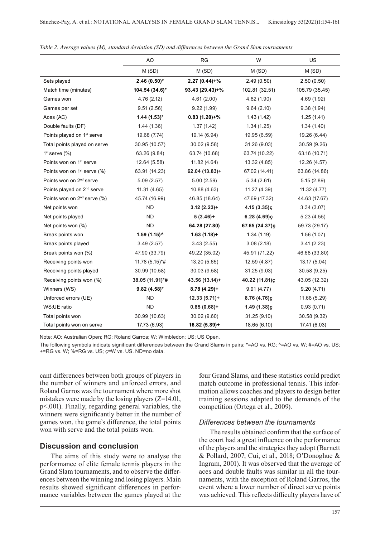|                                         | AO              | <b>RG</b>        | W              | US             |
|-----------------------------------------|-----------------|------------------|----------------|----------------|
|                                         | M (SD)          | M(SD)            | M(SD)          | M(SD)          |
| Sets played                             | $2.46(0.50)$ *  | $2.27(0.44)+%$   | 2.49(0.50)     | 2.50(0.50)     |
| Match time (minutes)                    | 104.54 (34.6)*  | $93.43(29.43)+%$ | 102.81 (32.51) | 105.79 (35.45) |
| Games won                               | 4.76(2.12)      | 4.61(2.00)       | 4.82(1.90)     | 4.69 (1.92)    |
| Games per set                           | 9.51(2.56)      | 9.22(1.99)       | 9.64(2.10)     | 9.38(1.94)     |
| Aces (AC)                               | $1.44(1.53)$ *  | $0.83(1.20)+%$   | 1.43(1.42)     | 1.25(1.41)     |
| Double faults (DF)                      | 1.44(1.36)      | 1.37(1.42)       | 1.34(1.25)     | 1.34(1.40)     |
| Points played on 1 <sup>st</sup> serve  | 19.68 (7.74)    | 19.14 (6.94)     | 19.95 (6.59)   | 19.26 (6.44)   |
| Total points played on serve            | 30.95 (10.57)   | 30.02 (9.58)     | 31.26 (9.03)   | 30.59 (9.26)   |
| $1st$ serve $(\%)$                      | 63.26 (9.84)    | 63.74 (10.68)    | 63.74 (10.22)  | 63.16 (10.71)  |
| Points won on 1 <sup>st</sup> serve     | 12.64 (5.58)    | 11.82 (4.64)     | 13.32 (4.85)   | 12.26 (4.57)   |
| Points won on 1 <sup>st</sup> serve (%) | 63.91 (14.23)   | $62.04(13.83)+$  | 67.02 (14.41)  | 63.86 (14.86)  |
| Points won on 2 <sup>nd</sup> serve     | 5.09(2.57)      | 5.00(2.59)       | 5.34(2.61)     | 5.15(2.89)     |
| Points played on 2 <sup>nd</sup> serve  | 11.31(4.65)     | 10.88 (4.63)     | 11.27 (4.39)   | 11.32(4.77)    |
| Points won on 2 <sup>nd</sup> serve (%) | 45.74 (16.99)   | 46.85 (18.64)    | 47.69 (17.32)  | 44.63 (17.67)  |
| Net points won                          | <b>ND</b>       | $3.12(2.23)+$    | $4.15(3.35)$ ç | 3.34(3.07)     |
| Net points played                       | <b>ND</b>       | $5(3.46) +$      | $6.28(4.69)$ ç | 5.23(4.55)     |
| Net points won (%)                      | <b>ND</b>       | 64.28 (27.80)    | 67.65 (24.37)ç | 59.73 (29.17)  |
| Break points won                        | 1.59 (1.15)^    | $1.63(1.18) +$   | 1.34(1.19)     | 1.56(1.07)     |
| Break points played                     | 3.49(2.57)      | 3.43(2.55)       | 3.08(2.18)     | 3.41(2.23)     |
| Break points won (%)                    | 47.90 (33.79)   | 49.22 (35.02)    | 45.91 (71.22)  | 46.68 (33.80)  |
| Receiving points won                    | 11.78 (5.15)*#  | 13.20 (5.65)     | 12.59 (4.87)   | 13.17 (5.04)   |
| Receiving points played                 | 30.99 (10.58)   | 30.03 (9.58)     | 31.25(9.03)    | 30.58 (9.25)   |
| Receiving points won (%)                | 38.05 (11.91)*# | 43.56 (13.14)+   | 40.22 (11.81)ç | 43.05 (12.32)  |
| Winners (WS)                            | $9.82(4.58)$ *  | $8.78(4.29)$ +   | 9.91(4.77)     | 9.20(4.71)     |
| Unforced errors (UE)                    | <b>ND</b>       | $12.33(5.71)+$   | 8.76 (4.76)c   | 11.68 (5.29)   |
| WS:UE ratio                             | <b>ND</b>       | $0.85(0.68)+$    | $1.49(1.38)$ c | 0.93(0.71)     |
| Total points won                        | 30.99 (10.63)   | 30.02 (9.60)     | 31.25 (9.10)   | 30.58 (9.32)   |
| Total points won on serve               | 17.73 (6.93)    | $16.82(5.89) +$  | 18.65 (6.10)   | 17.41 (6.03)   |

*Table 2. Average values (M), standard deviation (SD) and differences between the Grand Slam tournaments*

Note: AO: Australian Open; RG: Roland Garros; W: Wimbledon; US: US Open.

The following symbols indicate significant differences between the Grand Slams in pairs: \*=AO vs. RG; ^=AO vs. W; #=AO vs. US; +=RG vs. W; %=RG vs. US; ç=W vs. US. ND=no data.

cant differences between both groups of players in the number of winners and unforced errors, and Roland Garros was the tournament where more shot mistakes were made by the losing players  $(Z=14.01,$ p<.001). Finally, regarding general variables, the winners were significantly better in the number of games won, the game's difference, the total points won with serve and the total points won.

#### **Discussion and conclusion**

The aims of this study were to analyse the performance of elite female tennis players in the Grand Slam tournaments, and to observe the differences between the winning and losing players. Main results showed significant differences in performance variables between the games played at the

four Grand Slams, and these statistics could predict match outcome in professional tennis. This information allows coaches and players to design better training sessions adapted to the demands of the competition (Ortega et al., 2009).

#### *Differences between the tournaments*

The results obtained confirm that the surface of the court had a great influence on the performance of the players and the strategies they adopt (Barnett & Pollard, 2007; Cui, et al., 2018; O'Donoghue & Ingram, 2001). It was observed that the average of aces and double faults was similar in all the tournaments, with the exception of Roland Garros, the event where a lower number of direct serve points was achieved. This reflects difficulty players have of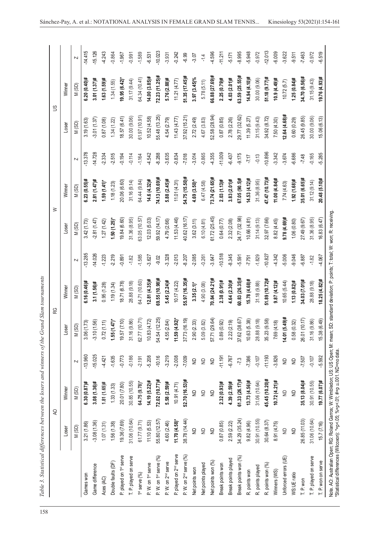Table 3. Statistical differences between the losers and winners of the Grand Slam tournaments

|                                                                                                                                                                                                                                       |                 | $\overline{Q}$     |                         |                              | RG               |                         |                | $\geq$           |           | $\mathbb{S}$    |                  |                         |
|---------------------------------------------------------------------------------------------------------------------------------------------------------------------------------------------------------------------------------------|-----------------|--------------------|-------------------------|------------------------------|------------------|-------------------------|----------------|------------------|-----------|-----------------|------------------|-------------------------|
|                                                                                                                                                                                                                                       | Loser           | Winner             |                         | Lose                         | Winner           |                         | Loser          | Winner           |           | Loser           | Winner           |                         |
|                                                                                                                                                                                                                                       | M(SD)           | M(SD)              |                         | M(SD)                        | M(SD)            | $\overline{\mathsf{N}}$ | M(SD)          | M(SD)            | N         | M(SD)           | M(SD)            | $\overline{\mathsf{N}}$ |
| Games won                                                                                                                                                                                                                             | 3.21 (1.86)     | $6.30(0.87)$ #     | $-13.960$               | 73)<br>3.06(1)               | $6.16(0.46)$ #   | $-13.285$               | 3.42(1.73)     | $6.23(0.55)$ #   | $-13.378$ | 3.19(1.63)      | $6.20(0.40)$ #   | $-14.415$               |
| Game difference                                                                                                                                                                                                                       | $-3.08(1.36)$   | $3.08(1.36)$ #     | $-15.025$               | 56)<br>$-3.10(1.$            | $3.1(1.56)$ #    | $-14.026$               | 2.81(1.47)     | $2.81(1.47)$ #   | $-14.728$ | $-3.01(1.37)$   | $3.01(1.37)$ #   | $-15.126$               |
| Aces (AC)                                                                                                                                                                                                                             | 1.07(1.31)      | $1.81(1.65)$ #     | $-4.421$                | 0.72(1.11)                   | 0.95(1.28)       | $-1.223$                | 1.27(1.42)     | 1.59(1.41)       | 2.334     | 0.87(1.08)      | $1.63(1.59)$ #   | $-4.243$                |
| Double faults (DF)                                                                                                                                                                                                                    | 1.56(1.38)      | 1.33(1.33)         | $-1.635$                | 1.55(1.47)                   | 1.19(1.34)       | 2.219                   | $1.50(1.25)$ * | 1.18(1.23)       | $-2.515$  | 1.34(1.22)      | 1.34(1.55)       | $-0.864$                |
| P. played on 1 <sup>st</sup> serve                                                                                                                                                                                                    | 19.36 (7.69)    | 20.01 (7.80)       | $-0.773$                | 19.57 (7.10)                 | 18.71 (6.78)     | $-0.891$                | 19.84 (6.60)   | 20.06 (6.60)     | $-0.194$  | 18.57(6.41)     | $19.95(6.42)^*$  | $-1.967$                |
| T. P. played on serve                                                                                                                                                                                                                 | 31.06 (10.64)   | 30.85 (10.55)      | $-0.186$                | 31.16 (9.86)                 | 28.88 (9.18)     | $-1.82$                 | 31.36(8.95)    | 31.16 (9.14)     | $-0.114$  | 30.00 (9.06)    | 31.17 (9.44)     | $-0.991$                |
| 1st serve (%)                                                                                                                                                                                                                         | 61.77(9.71)     | 64.75 (9.78)*      | $-2.191$                | 62.77 (10.71)                | 64.71 (10.60)    | $-1.585$                | 63.05 (10.57)  | 64.44 (9.84)     | $-1.164$  | 61.97(10.91)    | 64.34 (10.41)    | $-1.589$                |
| P. W. on 1st serve                                                                                                                                                                                                                    | 11.10(5.53)     | $14.19(5.22)$ #    | $-5.208$                | 10.83(4.72)                  | $12.81(4.35)$ #  | $-3.627$                | 12.03(5.03)    | $14.6(4.32)$ #   | $-4.542$  | 10.52(4.58)     | $14.00(3.85)$ #  | $-6.531$                |
| P. W. on 1st serve (%)                                                                                                                                                                                                                | 55.80 (12.57)   | 72.02 (10.77)#     | $-10.16$                | 54.54 (12.25)                | 69.55 (10.98)#   | $-9.02$                 | 59.92 (14.17)  | 74.13 (10.69)#   | $-8.288$  | 55.48 (13.25)   | $72.23(11.25)$ # | $-10.023$               |
| P. W. on 2 <sup>nd</sup> serve                                                                                                                                                                                                        | 4.60 (2.46)     | $5.58(2.59)$ #     | $-3.219$                | 4.55 (2.84)                  | $5.45(2.24)$ #   | 3.328                   | 4.79 (2.66)    | $5.88(2.45)\#$   | $-3.635$  | 4.54 (2.79)     | $5.76(2.88)$ #   | -3.931                  |
| P. played on 2 <sup>nd</sup> serve                                                                                                                                                                                                    | $11.70(4.58)$ * | 10.91(4.71)        | $-2.008$                | $11.59(4.92)^{*}$            | 10.17 (4.22)     | $-2.013$                | 11.53(4.46)    | 11.01(4.31)      | $-0.834$  | 11.43(4.77)     | 11.21(4.77)      | $-0.242$                |
| P. W. on 2 <sup>nd</sup> serve (%)                                                                                                                                                                                                    | 38.78 (14.44)   | 52.70 (16.53)#     | $-7.009$                | 37.73 (16.19)                | 55.97 (16.35)#   | $-8.207$                | 40.62 (16.17)  | 54.75 (15.50)#   | $-7.018$  | 37.92 (15.21)   | $51.35(17.45)$ # | $-6.99$                 |
| Net points won                                                                                                                                                                                                                        | $\Xi$           | g                  | $\infty$                | 33)<br>2.90 (2.              | $3.35(2.1)$ *    | $-2.085$                | 3.62(3.11)     | $4.69(3.50)^{A}$ | $-3.014$  | 2.72(2.49)      | $3.97(3.45)\%$   | $-3.07$                 |
| Net points played                                                                                                                                                                                                                     | $\triangleq$    | $\triangleq$       | $\supseteq$             | 5.09 (3.82)                  | 4.90 (3.08)      | $-0.261$                | 6.10(4.81)     | 6.47(4.58)       | $-0.865$  | 4.67 (3.83)     | 5.78(5.11)       | $-1.4$                  |
| Net points won (%)                                                                                                                                                                                                                    | $\infty$        | $\overline{z}$     | $\infty$                | 57.71 (29.64)                | 70.84 (24.21)#   | $-3.647$                | 61.72 (25.45)  | 73.74 (21.65)#   | $-4.355$  | 52.58 (28.94)   | $66.88(27.69)$ # | $-4.596$                |
| Break points won                                                                                                                                                                                                                      | 0.87(0.85)      | $2.32(0.93)$ #     | $-11.191$               | 92)<br>0.89(0.1)             | $2.38(0.91)$ #   | $-10.518$               | 0.64(0.77)     | $2.03(1.13)$ #   | $-11.009$ | 0.87(0.85)      | $2.25(0.79)$ #   | $-11.211$               |
| Break points played                                                                                                                                                                                                                   | 2.59 (2.22)     | 4.39 (2.59)#       | $-6.767$                | 2.22(2.19)                   | $4.64(2.30)$ #   | $-8.345$                | 2.32(2.08)     | $3.83(2.01)$ #   | $-6.437$  | 2.78 (2.26)     | 4.03 (2.01)#     | $-5.171$                |
| Break points won (%)                                                                                                                                                                                                                  | 34.29 (35.24)   | $61.33(26.17)$ #   | $-7.3$                  | 37.62 (38.67)                | $60.83(26.35)$ # | $-5.591$                | 24.77 (32.98)  | 67.05 (90.5)#    | $-9.175$  | 29.77 (32.62)   | $63.59(25.55)$ # | $-8.995$                |
| R. points won                                                                                                                                                                                                                         | 9.82(4.96)      | $13.73(4.56)$ #    | $-7.386$                | $\overline{.38}$<br>10.63(5. | 15.78 (4.68)#    | $-7.751$                | 10.66(4.81)    | $14.53(4.12)$ #  | 7.17      | 11.39(5.27)     | $14.94(4.10)$ #  | $-5.948$                |
| R. points played                                                                                                                                                                                                                      | 30.91 (10.55)   | 31.06 (10.64)      | $-0.107$                | 28.88 (9.18)                 | 31.18 (9.88)     | $-1.829$                | 31.14(9.13)    | 31.36(8.95)      | $-0.13$   | 31.15(9.43)     | 30.00 (9.06)     | $-0.972$                |
| R. points won (%)                                                                                                                                                                                                                     | 30.64(8.37)     | 45.45 (10.20)#     | $-11.193$               | 1.58<br>35.23 (9.            | 51.89 (10.72)#   | $-10.827$               | 32.97 (7.66)   | 47.47 (10.73)#   | $-10.896$ | 34.92 (8.72)    | 51.18 (9.77)#    | $-12.013$               |
| Winners (WS)                                                                                                                                                                                                                          | 8.91 (4.75)     | $10.72(4.21)$ #    | $-3.826$                | $\widetilde{a}$<br>7.69 (4.  | $9.87(4.12)$ #   | $-4.342$                | 8.82(4.45)     | 11.00 (4.84)#    | $-3.342$  | 7.50(4.30)      | $10.9(4.49)$ #   | $-6.009$                |
| Unforced errors (UE)                                                                                                                                                                                                                  | $\supseteq$     | $\trianglerighteq$ | $\infty$                | 14.01 (5.49)#                | 10.65(5.44)      | $-5.006$                | $9.78(4.69)$ # | 7.74(4.63)       | $-3.674$  | $12.64(4.68)$ # | 10.72(5.7)       | $-3.622$                |
| WS:UE ratio                                                                                                                                                                                                                           | $\infty$        | $\overline{z}$     | $\frac{\Omega}{\Sigma}$ | 0.58(0.32)                   | $1.13(0.82)$ #   | 9.046                   | 1.06(0.80)     | 1.92 (1.68)#     | -6.686    | 0.60(0.29)      | $1.25(0.84)$ #   | $-9.511$                |
| T. P. won                                                                                                                                                                                                                             | 26.85 (11.03)   | 35.13 (8.04)#      | $-7.507$                | 26.01 (10.17)                | 34.03 (7.01)#    | 5.887                   | 27.49 (9.67)   | 35.01 (6.65)#    | $-7.48$   | 26.45 (9.85)    | 34.70 (6.56)#    | $-7.463$                |
| T. P. played on serve                                                                                                                                                                                                                 | 31.06 (10.64)   | 30.91(10.55)       | $-0.107$                | 31.16 (9.86)                 | 28.88 (9.18)     | $-1.82$                 | 31.36(8.95)    | 31.12(9.14)      | $-0.165$  | 30.00 (9.06)    | 31.15(9.43)      | $-0.972$                |
| T. P. won on serve                                                                                                                                                                                                                    | 15.7(7.16)      | 19.77 (6.07)#      | $-5.592$                | (64.1)<br>15.38(6.           | $18.25(4.82)$ #  | $-4.067$                | 16.83 (6.47)   | $20.48(5.10)$ #  | $-5.285$  | 15.06 (6.13)    | 19.76 (4.93)#    | $-6.519$                |
| Note. AO: Australian Open; RG: Roland Garros; W: Wimbledon; US: US Open; M: mean; SD: standard deviation; P: points; T: total; W: won; R: receiving.<br>"Statistical differences (Wilcoxon): *=p<.05; %=p<.01; #=p ≤.001. ND=no data. |                 |                    |                         |                              |                  |                         |                |                  |           |                 |                  |                         |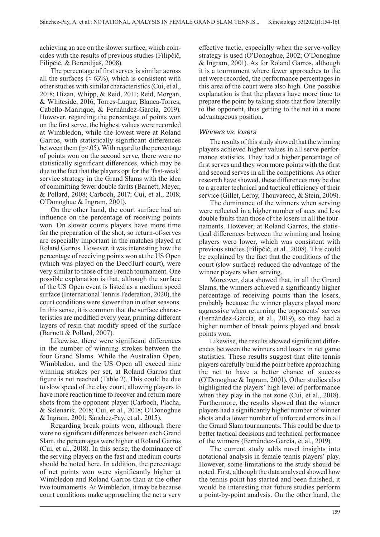achieving an ace on the slower surface, which coincides with the results of previous studies (Filipčič, Filipčič, & Berendijaš, 2008).

The percentage of first serves is similar across all the surfaces ( $\approx 63\%$ ), which is consistent with other studies with similar characteristics (Cui, et al., 2018; Hizan, Whipp, & Reid, 2011; Reid, Morgan, & Whiteside, 2016; Torres-Luque, Blanca-Torres, Cabello-Manrique, & Fernández-García, 2019). However, regarding the percentage of points won on the first serve, the highest values were recorded at Wimbledon, while the lowest were at Roland Garros, with statistically significant differences between them  $(p<0.05)$ . With regard to the percentage of points won on the second serve, there were no statistically significant differences, which may be due to the fact that the players opt for the 'fast-weak' service strategy in the Grand Slams with the idea of committing fewer double faults (Barnett, Meyer, & Pollard, 2008; Carboch, 2017; Cui, et al., 2018; O'Donoghue & Ingram, 2001).

On the other hand, the court surface had an influence on the percentage of receiving points won. On slower courts players have more time for the preparation of the shot, so return-of-serves are especially important in the matches played at Roland Garros. However, it was interesting how the percentage of receiving points won at the US Open (which was played on the DecoTurf court), were very similar to those of the French tournament. One possible explanation is that, although the surface of the US Open event is listed as a medium speed surface (International Tennis Federation, 2020), the court conditions were slower than in other seasons. In this sense, it is common that the surface characteristics are modified every year, printing different layers of resin that modify speed of the surface (Barnett & Pollard, 2007).

Likewise, there were significant differences in the number of winning strokes between the four Grand Slams. While the Australian Open, Wimbledon, and the US Open all exceed nine winning strokes per set, at Roland Garros that figure is not reached (Table 2). This could be due to slow speed of the clay court, allowing players to have more reaction time to recover and return more shots from the opponent player (Carboch, Placha, & Sklenarik, 2018; Cui, et al., 2018; O'Donoghue & Ingram, 2001; Sánchez-Pay, et al., 2015).

Regarding break points won, although there were no significant differences between each Grand Slam, the percentages were higher at Roland Garros (Cui, et al., 2018). In this sense, the dominance of the serving players on the fast and medium courts should be noted here. In addition, the percentage of net points won were significantly higher at Wimbledon and Roland Garros than at the other two tournaments. At Wimbledon, it may be because court conditions make approaching the net a very

effective tactic, especially when the serve-volley strategy is used (O'Donoghue, 2002; O'Donoghue & Ingram, 2001). As for Roland Garros, although it is a tournament where fewer approaches to the net were recorded, the performance percentages in this area of the court were also high. One possible explanation is that the players have more time to prepare the point by taking shots that flow laterally to the opponent, thus getting to the net in a more advantageous position.

#### *Winners vs. losers*

The results of this study showed that the winning players achieved higher values in all serve performance statistics. They had a higher percentage of first serves and they won more points with the first and second serves in all the competitions. As other research have showed, these differences may be due to a greater technical and tactical efficiency of their service (Gillet, Leroy, Thouvarecq, & Stein, 2009).

The dominance of the winners when serving were reflected in a higher number of aces and less double faults than those of the losers in all the tournaments. However, at Roland Garros, the statistical differences between the winning and losing players were lower, which was consistent with previous studies (Filipčič, et al., 2008). This could be explained by the fact that the conditions of the court (slow surface) reduced the advantage of the winner players when serving.

Moreover, data showed that, in all the Grand Slams, the winners achieved a significantly higher percentage of receiving points than the losers, probably because the winner players played more aggressive when returning the opponents' serves (Fernández-García, et al., 2019), so they had a higher number of break points played and break points won.

Likewise, the results showed significant differences between the winners and losers in net game statistics. These results suggest that elite tennis players carefully build the point before approaching the net to have a better chance of success (O'Donoghue & Ingram, 2001). Other studies also highlighted the players' high level of performance when they play in the net zone (Cui, et al., 2018). Furthermore, the results showed that the winner players had a significantly higher number of winner shots and a lower number of unforced errors in all the Grand Slam tournaments. This could be due to better tactical decisions and technical performance of the winners (Fernández-García, et al., 2019).

The current study adds novel insights into notational analysis in female tennis players' play. However, some limitations to the study should be noted. First, although the data analysed showed how the tennis point has started and been finished, it would be interesting that future studies perform a point-by-point analysis. On the other hand, the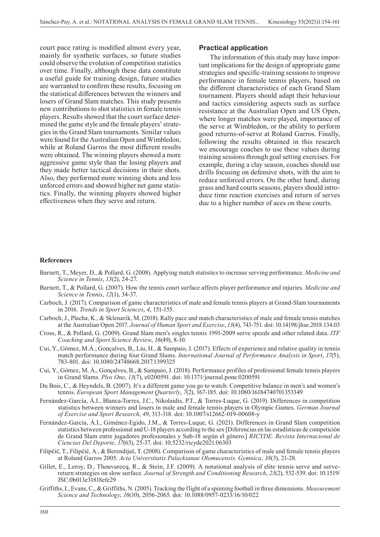court pace rating is modified almost every year, mainly for synthetic surfaces, so future studies could observe the evolution of competition statistics over time. Finally, although these data constitute a useful guide for training design, future studies are warranted to confirm these results, focusing on the statistical differences between the winners and losers of Grand Slam matches. This study presents new contributions to shot statistics in female tennis players. Results showed that the court surface determined the game style and the female players' strategies in the Grand Slam tournaments. Similar values were found for the Australian Open and Wimbledon, while at Roland Garros the most different results were obtained. The winning players showed a more aggressive game style than the losing players and they made better tactical decisions in their shots. Also, they performed more winning shots and less unforced errors and showed higher net game statistics. Finally, the winning players showed higher effectiveness when they serve and return.

#### **Practical application**

The information of this study may have important implications for the design of appropriate game strategies and specific-training sessions to improve performance in female tennis players, based on the different characteristics of each Grand Slam tournament. Players should adapt their behaviour and tactics considering aspects such as surface resistance at the Australian Open and US Open, where longer matches were played, importance of the serve at Wimbledon, or the ability to perform good returns-of-serve at Roland Garros. Finally, following the results obtained in this research we encourage coaches to use these values during training sessions through goal setting exercises. For example, during a clay season, coaches should use drills focusing on defensive shots, with the aim to reduce unforced errors. On the other hand, during grass and hard courts seasons, players should introduce time reaction exercises and return of serves due to a higher number of aces on these courts.

#### **References**

- Barnett, T., Meyer, D., & Pollard, G. (2008). Applying match statistics to increase serving performance. *Medicine and Science in Tennis*, *13*(2), 24-27.
- Barnett, T., & Pollard, G. (2007). How the tennis court surface affects player performance and injuries. *Medicine and Science in Tennis*, *12*(1), 34-37.
- Carboch, J. (2017). Comparison of game characteristics of male and female tennis players at Grand-Slam tournaments in 2016. *Trends in Sport Sciences*, *4*, 151-155.
- Carboch, J., Placha, K., & Sklenarik, M. (2018). Rally pace and match characteristics of male and female tennis matches at the Australian Open 2017. *Journal of Human Sport and Exercise*, *13*(4), 743-751. doi: 10.14198/jhse.2018.134.03
- Cross, R., & Pollard, G. (2009). Grand Slam men's singles tennis 1991-2009 serve speeds and other related data. *ITF Coaching and Sport Science Review*, *16*(49), 8-10.
- Cui, Y., Gómez, M.Á., Gonçalves, B., Liu, H., & Sampaio, J. (2017). Effects of experience and relative quality in tennis match performance during four Grand Slams. *International Journal of Performance Analysis in Sport*, *17*(5), 783-801. doi: 10.1080/24748668.2017.1399325
- Cui, Y., Gómez, M. Á., Gonçalves, B., & Sampaio, J. (2018). Performance profiles of professional female tennis players in Grand Slams. *Plos One*, *13*(7), e0200591. doi: 10.1371/journal.pone.0200591
- Du Bois, C., & Heyndels, B. (2007). It's a different game you go to watch: Competitive balance in men's and women's tennis. *European Sport Management Quarterly*, *7*(2), 167-185. doi: 10.1080/16184740701353349
- Fernández-García, Á.I., Blanca-Torres, J.C., Nikolaidis, P.T., & Torres-Luque, G. (2019). Differences in competition statistics between winners and losers in male and female tennis players in Olympic Games. *German Journal of Exercise and Sport Research*, *49*, 313-318. doi: 10.1007/s12662-019-00608-y
- Fernández-García, Á.I., Giménez-Egido, J.M., & Torres-Luque, G. (2021). Differences in Grand Slam competition statistics between professional and U-18 players according to the sex [Diferencias en las estadísticas de competición de Grand Slam entre jugadores profesionales y Sub-18 según el género.] *RICYDE. Revista Internacional de Ciencias Del Deporte*, *17*(63), 25-37. doi: 10.5232/ricyde2021.06303
- Filipčič, T., Filipčič, A., & Berendijaš, T. (2008). Comparison of game characteristics of male and female tennis players at Roland Garros 2005. *Acta Universitatis Palackianae Olomucensis. Gymnica*, *38*(3), 21-28.
- Gillet, E., Leroy, D., Thouvarecq, R., & Stein, J.F. (2009). A notational analysis of elite tennis serve and servereturn strategies on slow surface. *Journal of Strength and Conditioning Research*, *23*(2), 532-539. doi: 10.1519/ JSC.0b013e31818efe29
- Griffiths, I., Evans, C., & Griffiths, N. (2005). Tracking the flight of a spinning football in three dimensions. *Measurement Science and Technology*, *16*(10), 2056-2065. doi: 10.1088/0957-0233/16/10/022